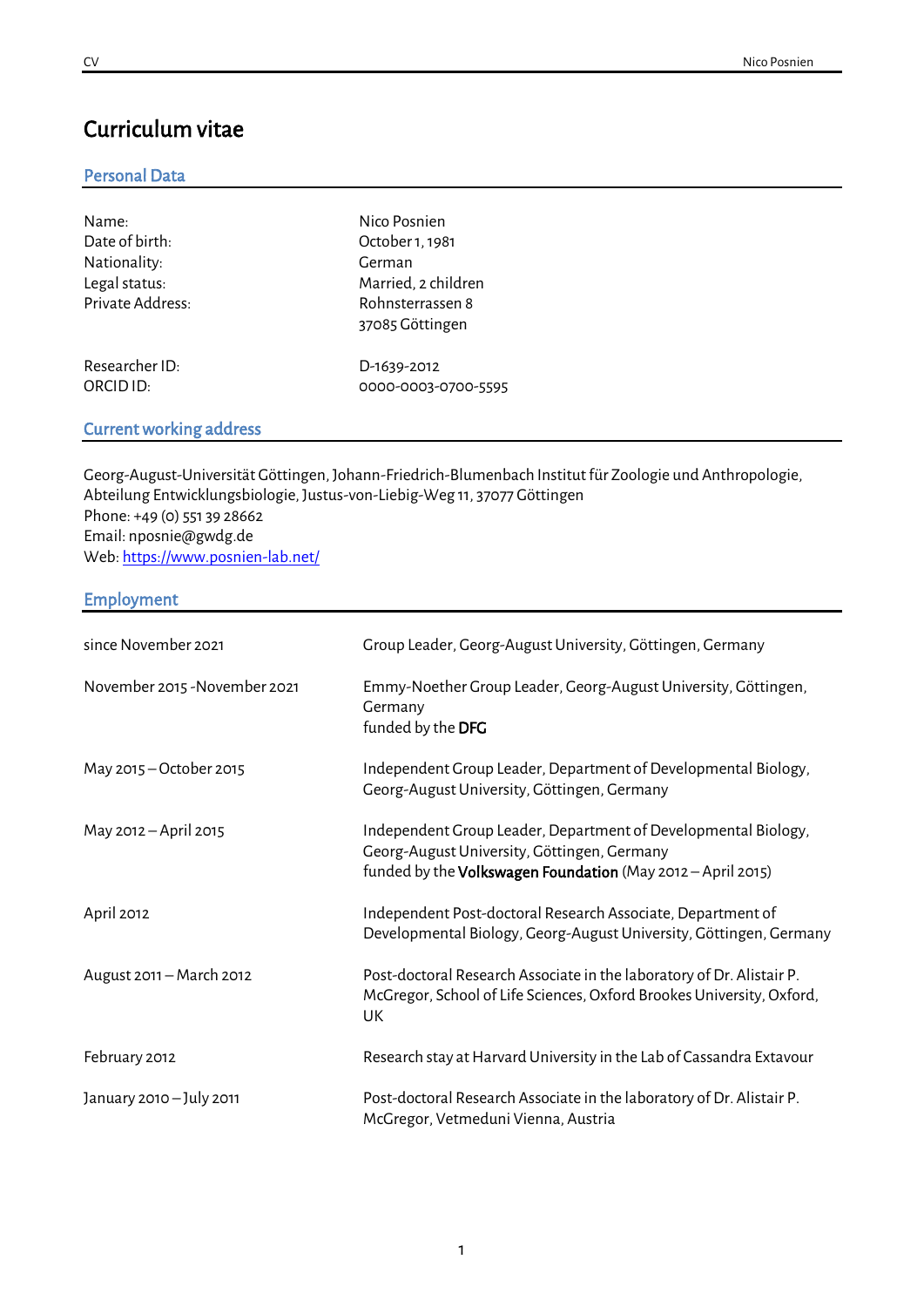## Curriculum vitae

#### Personal Data

| Name:<br>Date of birth:<br>Nationality:<br>Legal status:<br>Private Address: | Nico Posnien<br>October 1, 1981<br>German<br>Married, 2 children<br>Rohnsterrassen 8<br>37085 Göttingen |
|------------------------------------------------------------------------------|---------------------------------------------------------------------------------------------------------|
| Researcher ID:                                                               | D-1639-2012                                                                                             |
| ORCID ID:                                                                    | 0000-0003-0700-5595                                                                                     |

## Current working address

Georg-August-Universität Göttingen, Johann-Friedrich-Blumenbach Institut für Zoologie und Anthropologie, Abteilung Entwicklungsbiologie, Justus-von-Liebig-Weg 11, 37077 Göttingen Phone: +49 (0) 551 39 28662 Email: nposnie@gwdg.de Web[: https://www.posnien-lab.net/](https://www.posnien-lab.net/)

#### Employment

| since November 2021           | Group Leader, Georg-August University, Göttingen, Germany                                                                                                                    |
|-------------------------------|------------------------------------------------------------------------------------------------------------------------------------------------------------------------------|
| November 2015 - November 2021 | Emmy-Noether Group Leader, Georg-August University, Göttingen,<br>Germany<br>funded by the DFG                                                                               |
| May 2015 – October 2015       | Independent Group Leader, Department of Developmental Biology,<br>Georg-August University, Göttingen, Germany                                                                |
| May 2012 - April 2015         | Independent Group Leader, Department of Developmental Biology,<br>Georg-August University, Göttingen, Germany<br>funded by the Volkswagen Foundation (May 2012 - April 2015) |
| April 2012                    | Independent Post-doctoral Research Associate, Department of<br>Developmental Biology, Georg-August University, Göttingen, Germany                                            |
| August 2011 - March 2012      | Post-doctoral Research Associate in the laboratory of Dr. Alistair P.<br>McGregor, School of Life Sciences, Oxford Brookes University, Oxford,<br>UK                         |
| February 2012                 | Research stay at Harvard University in the Lab of Cassandra Extavour                                                                                                         |
| January 2010 - July 2011      | Post-doctoral Research Associate in the laboratory of Dr. Alistair P.<br>McGregor, Vetmeduni Vienna, Austria                                                                 |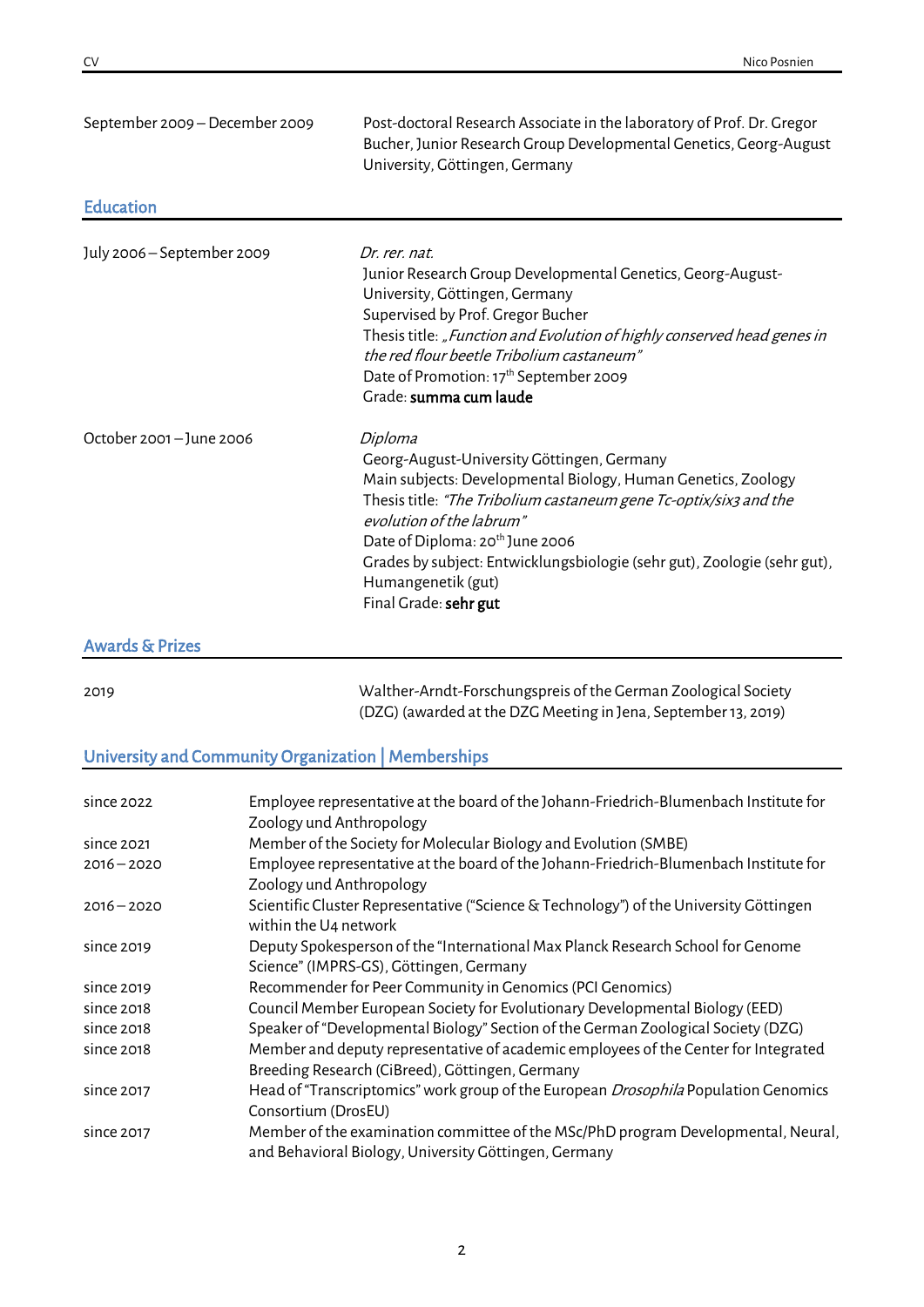| September 2009 - December 2009 | Post-doctoral Research Associate in the laboratory of Prof. Dr. Gregor<br>Bucher, Junior Research Group Developmental Genetics, Georg-August<br>University, Göttingen, Germany                                                                                                                                                                                                                    |
|--------------------------------|---------------------------------------------------------------------------------------------------------------------------------------------------------------------------------------------------------------------------------------------------------------------------------------------------------------------------------------------------------------------------------------------------|
| <b>Education</b>               |                                                                                                                                                                                                                                                                                                                                                                                                   |
| July 2006 - September 2009     | Dr. rer. nat.<br>Junior Research Group Developmental Genetics, Georg-August-<br>University, Göttingen, Germany<br>Supervised by Prof. Gregor Bucher<br>Thesis title: "Function and Evolution of highly conserved head genes in<br>the red flour beetle Tribolium castaneum"<br>Date of Promotion: 17 <sup>th</sup> September 2009<br>Grade: summa cum laude                                       |
| October 2001 - June 2006       | Diploma<br>Georg-August-University Göttingen, Germany<br>Main subjects: Developmental Biology, Human Genetics, Zoology<br>Thesis title: "The Tribolium castaneum gene Tc-optix/six3 and the<br>evolution of the labrum"<br>Date of Diploma: 20 <sup>th</sup> June 2006<br>Grades by subject: Entwicklungsbiologie (sehr gut), Zoologie (sehr gut),<br>Humangenetik (gut)<br>Final Grade: sehr gut |

#### Awards & Prizes

2019 Walther-Arndt-Forschungspreis of the German Zoological Society (DZG) (awarded at the DZG Meeting in Jena, September 13, 2019)

## University and Community Organization | Memberships

| since 2022    | Employee representative at the board of the Johann-Friedrich-Blumenbach Institute for<br>Zoology und Anthropology                          |
|---------------|--------------------------------------------------------------------------------------------------------------------------------------------|
| since 2021    | Member of the Society for Molecular Biology and Evolution (SMBE)                                                                           |
| $2016 - 2020$ | Employee representative at the board of the Johann-Friedrich-Blumenbach Institute for<br>Zoology und Anthropology                          |
| $2016 - 2020$ | Scientific Cluster Representative ("Science & Technology") of the University Göttingen<br>within the U4 network                            |
| since 2019    | Deputy Spokesperson of the "International Max Planck Research School for Genome<br>Science" (IMPRS-GS), Göttingen, Germany                 |
| since 2019    | Recommender for Peer Community in Genomics (PCI Genomics)                                                                                  |
| since 2018    | Council Member European Society for Evolutionary Developmental Biology (EED)                                                               |
| since 2018    | Speaker of "Developmental Biology" Section of the German Zoological Society (DZG)                                                          |
| since 2018    | Member and deputy representative of academic employees of the Center for Integrated<br>Breeding Research (CiBreed), Göttingen, Germany     |
| since 2017    | Head of "Transcriptomics" work group of the European Drosophila Population Genomics<br>Consortium (DrosEU)                                 |
| since 2017    | Member of the examination committee of the MSc/PhD program Developmental, Neural,<br>and Behavioral Biology, University Göttingen, Germany |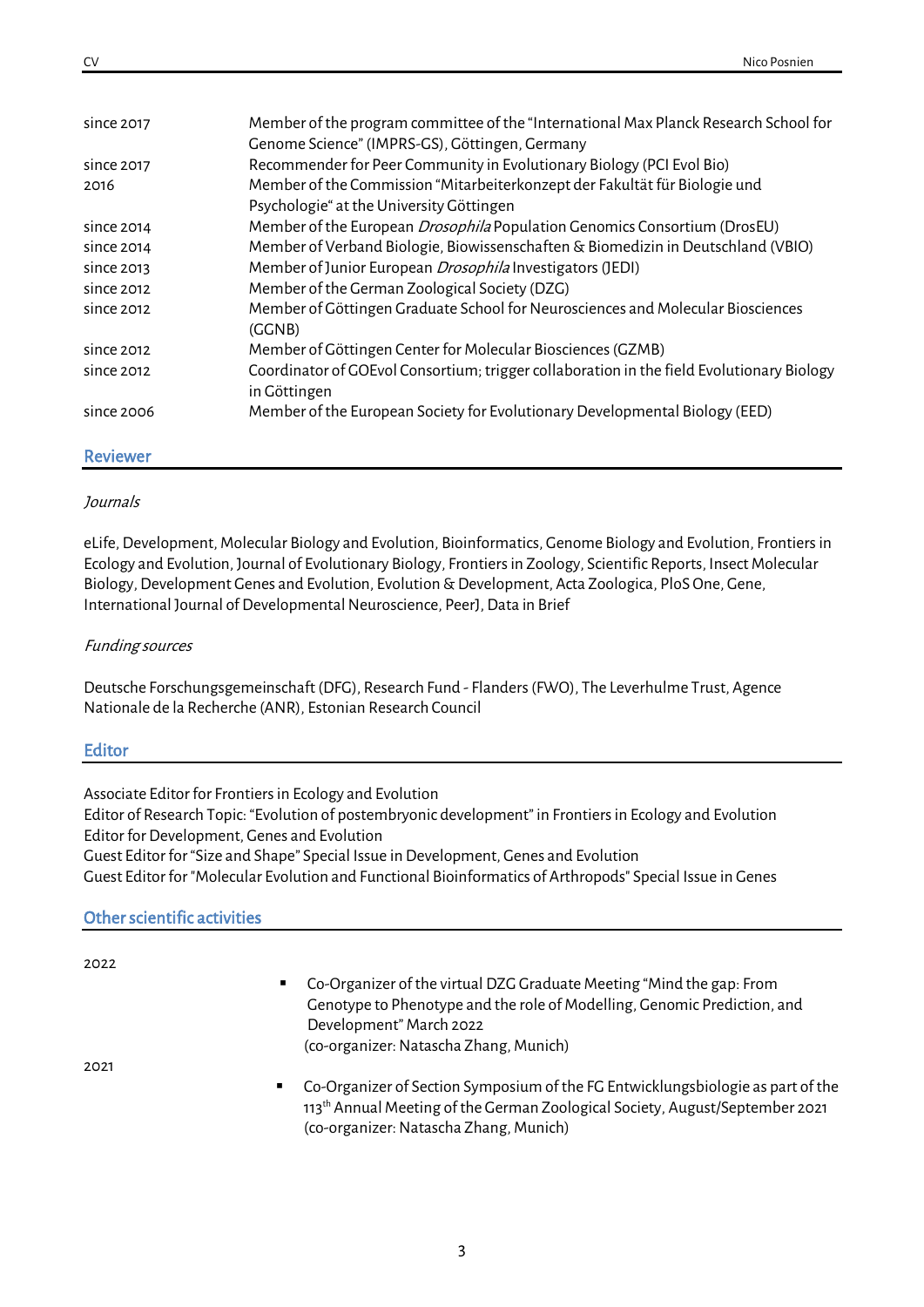| since 2017      | Member of the program committee of the "International Max Planck Research School for<br>Genome Science" (IMPRS-GS), Göttingen, Germany |
|-----------------|----------------------------------------------------------------------------------------------------------------------------------------|
| since 2017      | Recommender for Peer Community in Evolutionary Biology (PCI Evol Bio)                                                                  |
| 2016            | Member of the Commission "Mitarbeiterkonzept der Fakultät für Biologie und<br>Psychologie" at the University Göttingen                 |
| since 2014      | Member of the European Drosophila Population Genomics Consortium (DrosEU)                                                              |
| since 2014      | Member of Verband Biologie, Biowissenschaften & Biomedizin in Deutschland (VBIO)                                                       |
| since 2013      | Member of Junior European <i>Drosophila</i> Investigators (JEDI)                                                                       |
| since 2012      | Member of the German Zoological Society (DZG)                                                                                          |
| since 2012      | Member of Göttingen Graduate School for Neurosciences and Molecular Biosciences<br>(CGNB)                                              |
| since 2012      | Member of Göttingen Center for Molecular Biosciences (GZMB)                                                                            |
| since 2012      | Coordinator of GOEvol Consortium; trigger collaboration in the field Evolutionary Biology<br>in Göttingen                              |
| since 2006      | Member of the European Society for Evolutionary Developmental Biology (EED)                                                            |
| <b>Reviewer</b> |                                                                                                                                        |

#### **Journals**

eLife, Development, Molecular Biology and Evolution, Bioinformatics, Genome Biology and Evolution, Frontiers in Ecology and Evolution, Journal of Evolutionary Biology, Frontiers in Zoology, Scientific Reports, Insect Molecular Biology, Development Genes and Evolution, Evolution & Development, Acta Zoologica, PloS One, Gene, International Journal of Developmental Neuroscience, PeerJ, Data in Brief

#### Funding sources

Deutsche Forschungsgemeinschaft (DFG), Research Fund - Flanders (FWO), The Leverhulme Trust, Agence Nationale de la Recherche (ANR), Estonian Research Council

#### Editor

Associate Editor for Frontiers in Ecology and Evolution

Editor of Research Topic: "Evolution of postembryonic development" in Frontiers in Ecology and Evolution Editor for Development, Genes and Evolution Guest Editor for "Size and Shape" Special Issue in Development, Genes and Evolution Guest Editor for "Molecular Evolution and Functional Bioinformatics of Arthropods" Special Issue in Genes

## Other scientific activities

2022

■ Co-Organizer of the virtual DZG Graduate Meeting "Mind the gap: From Genotype to Phenotype and the role of Modelling, Genomic Prediction, and Development" March 2022 (co-organizer: Natascha Zhang, Munich)

2021

■ Co-Organizer of Section Symposium of the FG Entwicklungsbiologie as part of the 113<sup>th</sup> Annual Meeting of the German Zoological Society, August/September 2021 (co-organizer: Natascha Zhang, Munich)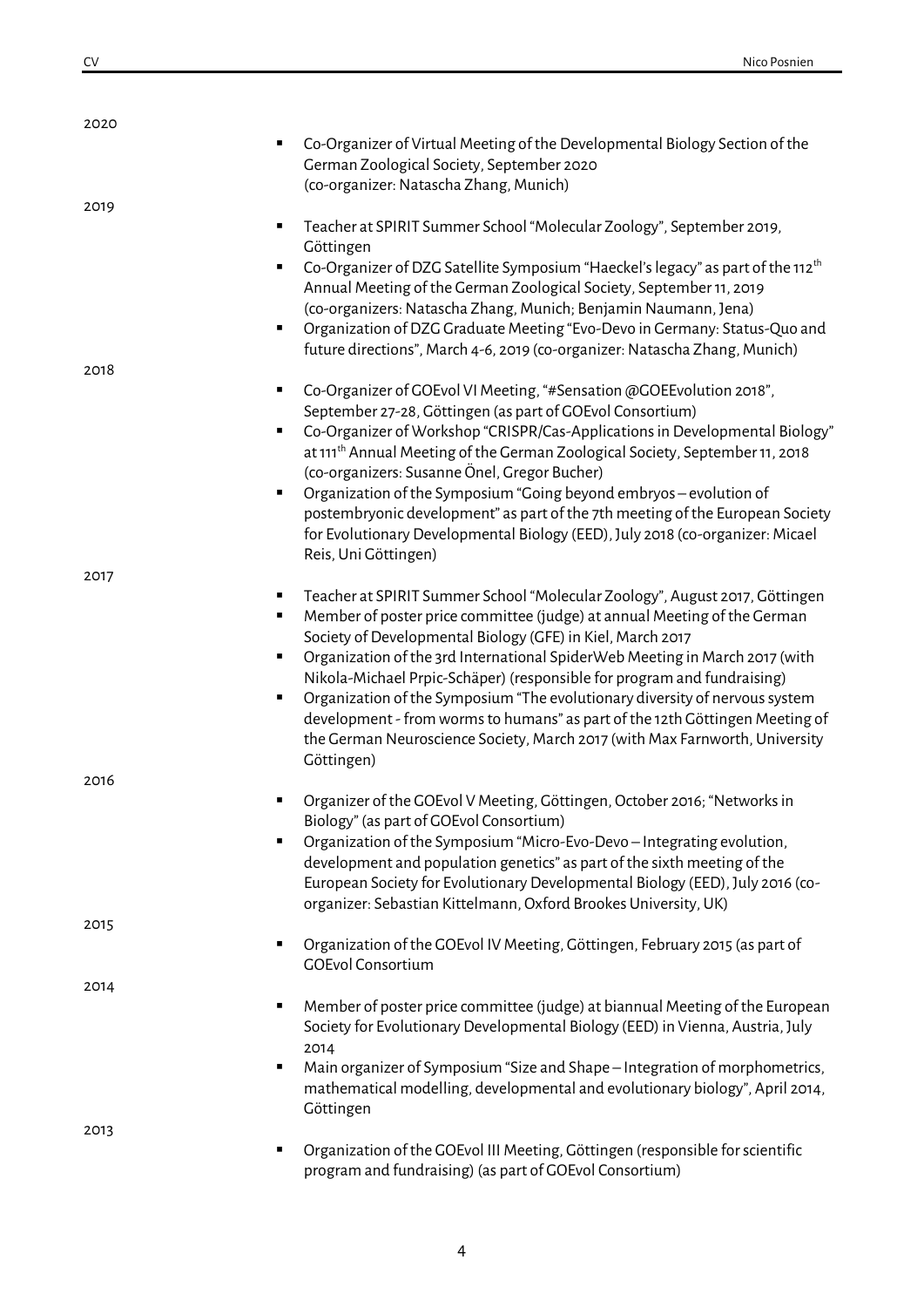| 2020      |                                                                                                                                                                         |
|-----------|-------------------------------------------------------------------------------------------------------------------------------------------------------------------------|
|           | Co-Organizer of Virtual Meeting of the Developmental Biology Section of the<br>German Zoological Society, September 2020                                                |
|           | (co-organizer: Natascha Zhang, Munich)                                                                                                                                  |
| 2019<br>٠ | Teacher at SPIRIT Summer School "Molecular Zoology", September 2019,                                                                                                    |
|           | Göttingen                                                                                                                                                               |
| ٠         | Co-Organizer of DZG Satellite Symposium "Haeckel's legacy" as part of the 112 <sup>th</sup><br>Annual Meeting of the German Zoological Society, September 11, 2019      |
|           | (co-organizers: Natascha Zhang, Munich; Benjamin Naumann, Jena)                                                                                                         |
| ٠         | Organization of DZG Graduate Meeting "Evo-Devo in Germany: Status-Quo and                                                                                               |
|           | future directions", March 4-6, 2019 (co-organizer: Natascha Zhang, Munich)                                                                                              |
| 2018      |                                                                                                                                                                         |
| ٠         | Co-Organizer of GOEvol VI Meeting, "#Sensation @GOEEvolution 2018",<br>September 27-28, Göttingen (as part of GOEvol Consortium)                                        |
| ٠         | Co-Organizer of Workshop "CRISPR/Cas-Applications in Developmental Biology"<br>at 111 <sup>th</sup> Annual Meeting of the German Zoological Society, September 11, 2018 |
|           | (co-organizers: Susanne Önel, Gregor Bucher)                                                                                                                            |
| ٠         | Organization of the Symposium "Going beyond embryos - evolution of                                                                                                      |
|           | postembryonic development" as part of the 7th meeting of the European Society                                                                                           |
|           | for Evolutionary Developmental Biology (EED), July 2018 (co-organizer: Micael                                                                                           |
|           | Reis, Uni Göttingen)                                                                                                                                                    |
| 2017      | Teacher at SPIRIT Summer School "Molecular Zoology", August 2017, Göttingen                                                                                             |
| ٠         | Member of poster price committee (judge) at annual Meeting of the German                                                                                                |
|           | Society of Developmental Biology (GFE) in Kiel, March 2017                                                                                                              |
| ٠         | Organization of the 3rd International SpiderWeb Meeting in March 2017 (with                                                                                             |
|           | Nikola-Michael Prpic-Schäper) (responsible for program and fundraising)                                                                                                 |
| ٠         | Organization of the Symposium "The evolutionary diversity of nervous system                                                                                             |
|           | development - from worms to humans" as part of the 12th Göttingen Meeting of                                                                                            |
|           | the German Neuroscience Society, March 2017 (with Max Farnworth, University                                                                                             |
|           | Göttingen)                                                                                                                                                              |
| 2016      |                                                                                                                                                                         |
| ٠         | Organizer of the GOEvol V Meeting, Göttingen, October 2016; "Networks in                                                                                                |
|           | Biology" (as part of GOEvol Consortium)                                                                                                                                 |
| ٠         | Organization of the Symposium "Micro-Evo-Devo - Integrating evolution,                                                                                                  |
|           | development and population genetics" as part of the sixth meeting of the                                                                                                |
|           | European Society for Evolutionary Developmental Biology (EED), July 2016 (co-                                                                                           |
|           | organizer: Sebastian Kittelmann, Oxford Brookes University, UK)                                                                                                         |
| 2015      |                                                                                                                                                                         |
| ٠         | Organization of the GOEvol IV Meeting, Göttingen, February 2015 (as part of                                                                                             |
|           | <b>GOEvol Consortium</b>                                                                                                                                                |
| 2014      |                                                                                                                                                                         |
| ٠         | Member of poster price committee (judge) at biannual Meeting of the European                                                                                            |
|           | Society for Evolutionary Developmental Biology (EED) in Vienna, Austria, July                                                                                           |
| ٠         | 2014<br>Main organizer of Symposium "Size and Shape - Integration of morphometrics,                                                                                     |
|           | mathematical modelling, developmental and evolutionary biology", April 2014,                                                                                            |
|           | Göttingen                                                                                                                                                               |
| 2013      |                                                                                                                                                                         |
| ٠         | Organization of the GOEvol III Meeting, Göttingen (responsible for scientific                                                                                           |
|           | program and fundraising) (as part of GOEvol Consortium)                                                                                                                 |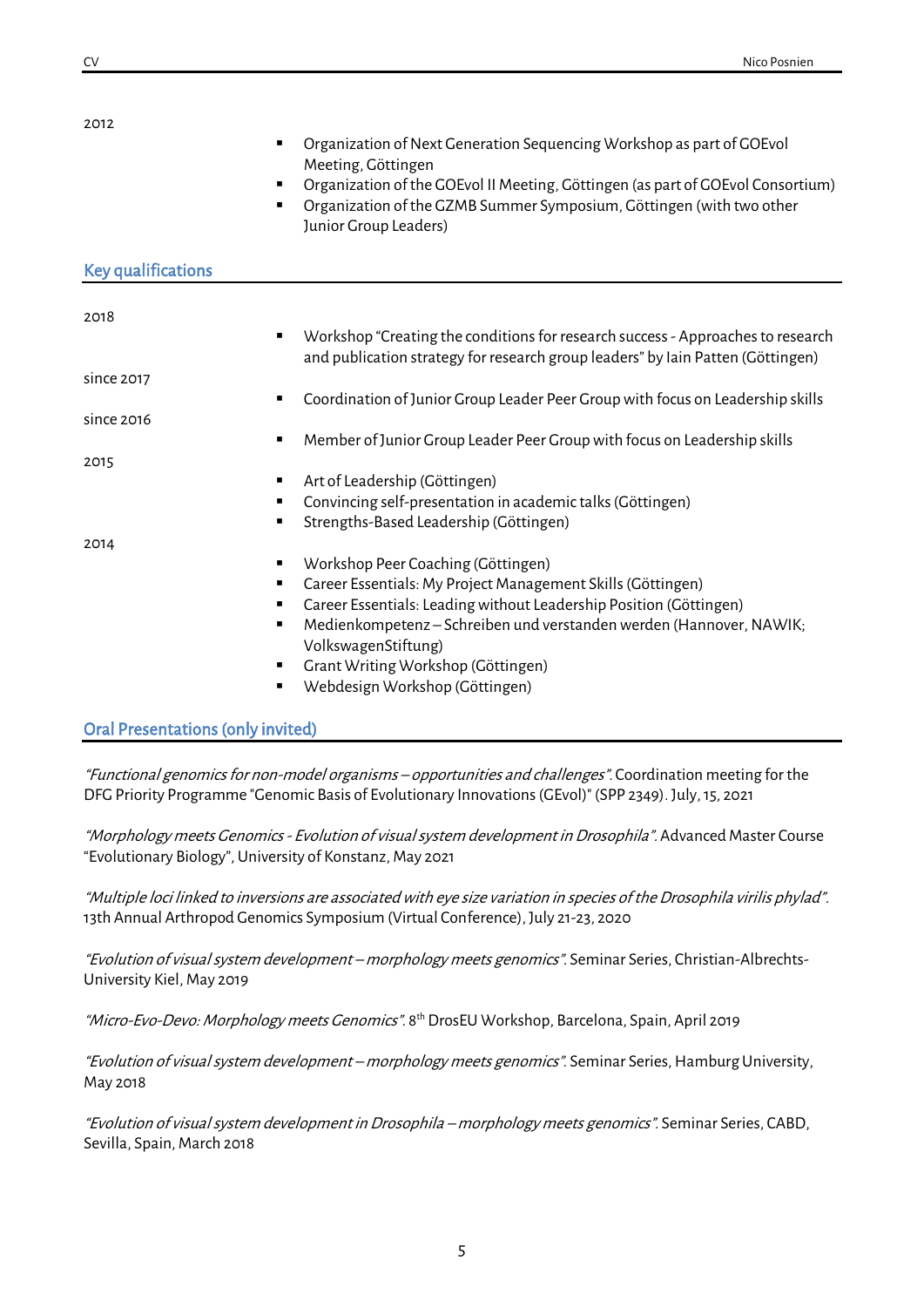2012

| ZUIZ<br>$\blacksquare$<br>٠<br>٠ | Organization of Next Generation Sequencing Workshop as part of GOEvol<br>Meeting, Göttingen<br>Organization of the GOEvol II Meeting, Göttingen (as part of GOEvol Consortium)<br>Organization of the GZMB Summer Symposium, Göttingen (with two other<br>Junior Group Leaders) |
|----------------------------------|---------------------------------------------------------------------------------------------------------------------------------------------------------------------------------------------------------------------------------------------------------------------------------|
| <b>Key qualifications</b>        |                                                                                                                                                                                                                                                                                 |
| 2018                             |                                                                                                                                                                                                                                                                                 |
| ٠                                | Workshop "Creating the conditions for research success - Approaches to research<br>and publication strategy for research group leaders" by Iain Patten (Göttingen)                                                                                                              |
| since 2017                       |                                                                                                                                                                                                                                                                                 |
| ٠                                | Coordination of Junior Group Leader Peer Group with focus on Leadership skills                                                                                                                                                                                                  |
| since 2016<br>п                  | Member of Junior Group Leader Peer Group with focus on Leadership skills                                                                                                                                                                                                        |
| 2015                             |                                                                                                                                                                                                                                                                                 |
| ٠                                | Art of Leadership (Göttingen)                                                                                                                                                                                                                                                   |
| ٠                                | Convincing self-presentation in academic talks (Göttingen)                                                                                                                                                                                                                      |
| п                                | Strengths-Based Leadership (Göttingen)                                                                                                                                                                                                                                          |
| 2014<br>٠                        | Workshop Peer Coaching (Göttingen)                                                                                                                                                                                                                                              |
| ٠                                | Career Essentials: My Project Management Skills (Göttingen)                                                                                                                                                                                                                     |
| ٠                                | Career Essentials: Leading without Leadership Position (Göttingen)                                                                                                                                                                                                              |
| ٠                                | Medienkompetenz-Schreiben und verstanden werden (Hannover, NAWIK;<br>VolkswagenStiftung)                                                                                                                                                                                        |
| ٠                                | Grant Writing Workshop (Göttingen)                                                                                                                                                                                                                                              |
| п                                | Webdesign Workshop (Göttingen)                                                                                                                                                                                                                                                  |

#### Oral Presentations (only invited)

"Functional genomics for non-model organisms – opportunities and challenges". Coordination meeting for the DFG Priority Programme "Genomic Basis of Evolutionary Innovations (GEvol)" (SPP 2349). July, 15, 2021

"Morphology meets Genomics - Evolution of visual system development in Drosophila". Advanced Master Course "Evolutionary Biology", University of Konstanz, May 2021

"Multiple loci linked to inversions are associated with eye size variation in species of the Drosophila virilis phylad". 13th Annual Arthropod Genomics Symposium (Virtual Conference), July 21-23, 2020

"Evolution of visual system development – morphology meets genomics". Seminar Series, Christian-Albrechts-University Kiel, May 2019

"*Micro-Evo-Devo: Morphology meets Genomics".* 8<sup>th</sup> DrosEU Workshop, Barcelona, Spain, April 2019

"Evolution of visual system development – morphology meets genomics". Seminar Series, Hamburg University, May 2018

"Evolution of visual system development in Drosophila – morphology meets genomics". Seminar Series, CABD, Sevilla, Spain, March 2018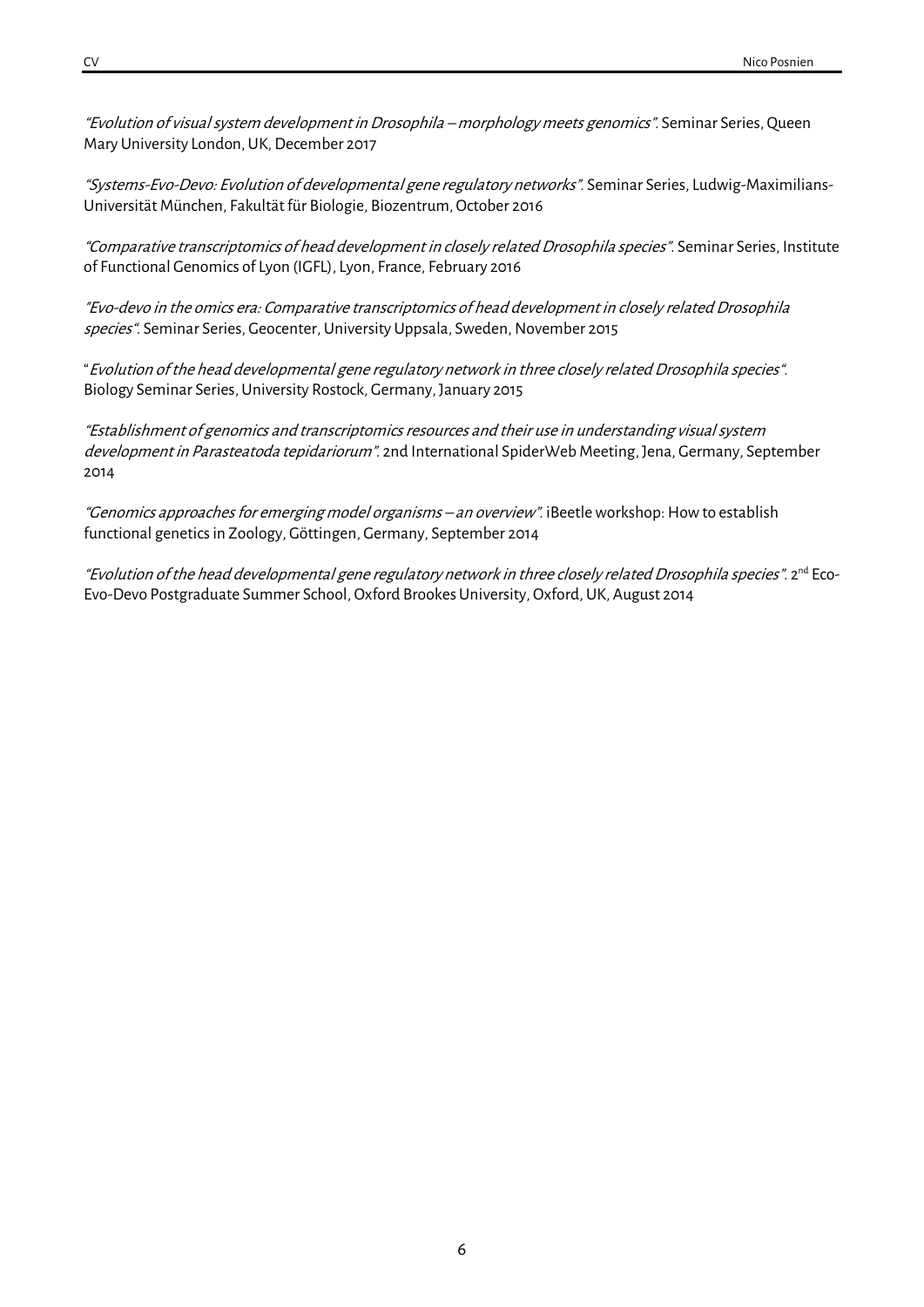"Evolution of visual system development in Drosophila – morphology meets genomics". Seminar Series, Queen Mary University London, UK, December 2017

"Systems-Evo-Devo: Evolution of developmental gene regulatory networks". Seminar Series, Ludwig-Maximilians-Universität München, Fakultät für Biologie, Biozentrum, October 2016

"Comparative transcriptomics of head development in closely related Drosophila species". Seminar Series, Institute of Functional Genomics of Lyon (IGFL), Lyon, France, February 2016

"Evo-devo in the omics era: Comparative transcriptomics of head development in closely related Drosophila species". Seminar Series, Geocenter, University Uppsala, Sweden, November 2015

"Evolution of the head developmental gene regulatory network in three closely related Drosophila species". Biology Seminar Series, University Rostock, Germany, January 2015

"Establishment of genomics and transcriptomics resources and their use in understanding visual system development in Parasteatoda tepidariorum". 2nd International SpiderWeb Meeting, Jena, Germany, September 2014

"Genomics approaches for emerging model organisms – an overview". iBeetle workshop: How to establish functional genetics in Zoology, Göttingen, Germany, September 2014

"Evolution of the head developmental gene regulatory network in three closely related Drosophila species".  $2^{nd}$  Eco-Evo-Devo Postgraduate Summer School, Oxford Brookes University, Oxford, UK, August 2014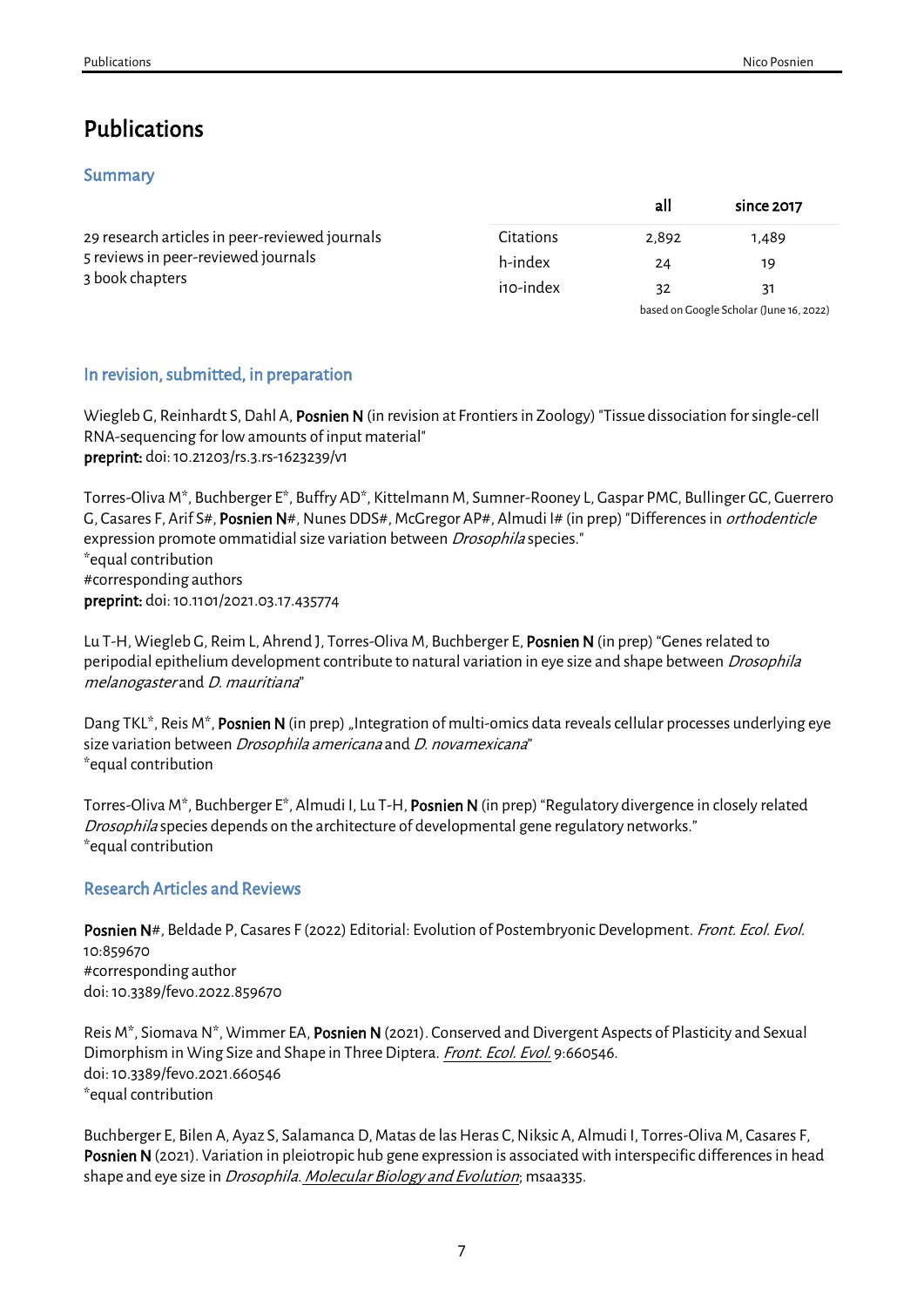# **Publications**

## Summary

|                                                                                                          |           | all                                     | since 2017 |
|----------------------------------------------------------------------------------------------------------|-----------|-----------------------------------------|------------|
| 29 research articles in peer-reviewed journals<br>5 reviews in peer-reviewed journals<br>3 book chapters | Citations | 2.892                                   | 1,489      |
|                                                                                                          | h-index   | 24                                      | 19         |
|                                                                                                          | i10-index | 32                                      | 31         |
|                                                                                                          |           | based on Google Scholar (June 16, 2022) |            |

### In revision, submitted, in preparation

Wiegleb G, Reinhardt S, Dahl A, Posnien N (in revision at Frontiers in Zoology) "Tissue dissociation for single-cell RNA-sequencing for low amounts of input material" preprint: doi: 10.21203/rs.3.rs-1623239/v1

Torres-Oliva M\*, Buchberger E\*, Buffry AD\*, Kittelmann M, Sumner-Rooney L, Gaspar PMC, Bullinger GC, Guerrero G, Casares F, Arif S#, Posnien N#, Nunes DDS#, McGregor AP#, Almudi I# (in prep) "Differences in *orthodenticle* expression promote ommatidial size variation between *Drosophila* species." \*equal contribution #corresponding authors preprint: doi: 10.1101/2021.03.17.435774

Lu T-H, Wiegleb G, Reim L, Ahrend J, Torres-Oliva M, Buchberger E, Posnien N (in prep) "Genes related to peripodial epithelium development contribute to natural variation in eye size and shape between *Drosophila* melanogaster and D. mauritiana"

Dang TKL<sup>\*</sup>, Reis M<sup>\*</sup>, Posnien N (in prep) "Integration of multi-omics data reveals cellular processes underlying eye size variation between *Drosophila americana* and *D. novamexicana*" \*equal contribution

Torres-Oliva M\*, Buchberger E\*, Almudi I, Lu T-H, Posnien N(in prep) "Regulatory divergence in closely related Drosophila species depends on the architecture of developmental gene regulatory networks." \*equal contribution

## Research Articles and Reviews

Posnien N#, Beldade P, Casares F (2022) Editorial: Evolution of Postembryonic Development. Front. Ecol. Evol. 10:859670 #corresponding author doi: 10.3389/fevo.2022.859670

Reis M<sup>\*</sup>, Siomava N<sup>\*</sup>, Wimmer EA, Posnien N (2021). Conserved and Divergent Aspects of Plasticity and Sexual Dimorphism in Wing Size and Shape in Three Diptera. Front. Ecol. Evol. 9:660546. doi: 10.3389/fevo.2021.660546 \*equal contribution

Buchberger E, Bilen A, Ayaz S, Salamanca D, Matas de las Heras C, Niksic A, Almudi I, Torres-Oliva M, Casares F, Posnien N (2021). Variation in pleiotropic hub gene expression is associated with interspecific differences in head shape and eye size in *Drosophila. Molecular Biology and Evolution*; msaa335.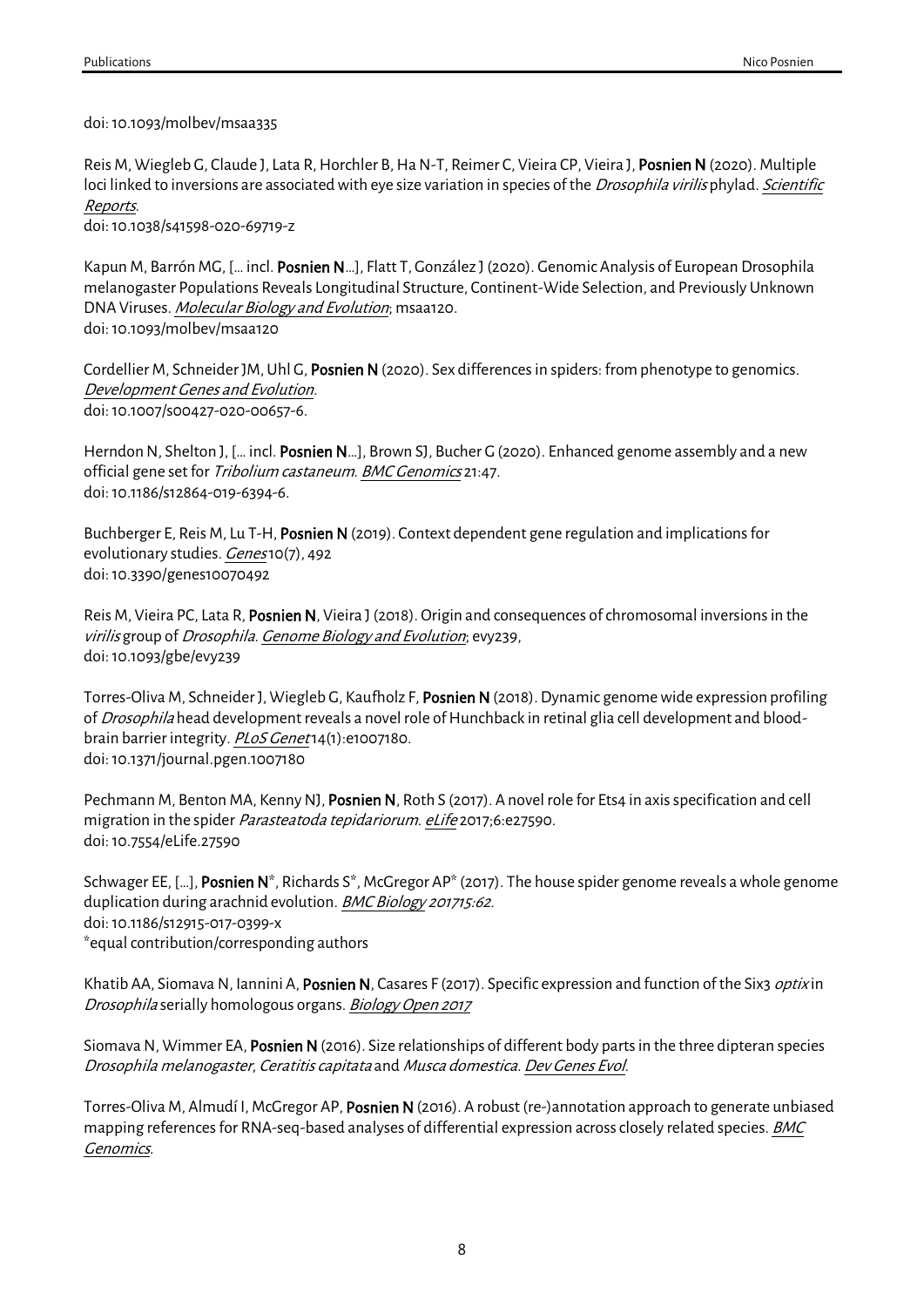doi: 10.1093/molbev/msaa335

Reis M, Wiegleb G, Claude J, Lata R, Horchler B, Ha N-T, Reimer C, Vieira CP, Vieira J, Posnien N(2020). Multiple loci linked to inversions are associated with eye size variation in species of the *Drosophila virilis* phylad. Scientific Reports.

doi: 10.1038/s41598-020-69719-z

Kapun M, Barrón MG, [... incl. Posnien N...], Flatt T, González J (2020). Genomic Analysis of European Drosophila melanogaster Populations Reveals Longitudinal Structure, Continent-Wide Selection, and Previously Unknown DNA Viruses. Molecular Biology and Evolution; msaa120. doi: 10.1093/molbev/msaa120

Cordellier M, Schneider JM, Uhl G, Posnien N (2020). Sex differences in spiders: from phenotype to genomics. Development Genes and Evolution. doi:10.1007/s00427-020-00657-6.

Herndon N, Shelton J, [... incl. Posnien N...], Brown SJ, Bucher G (2020). Enhanced genome assembly and a new official gene set for Tribolium castaneum. BMC Genomics 21:47. doi:10.1186/s12864-019-6394-6.

Buchberger E, Reis M, Lu T-H, Posnien N (2019). Context dependent gene regulation and implications for evolutionary studies. Cenes10(7), 492 doi: 10.3390/genes10070492

Reis M, Vieira PC, Lata R, Posnien N, Vieira J (2018). Origin and consequences of chromosomal inversions in the virilis group of Drosophila. Genome Biology and Evolution; evy239, doi: 10.1093/gbe/evy239

Torres-Oliva M, Schneider J, Wiegleb G, Kaufholz F, Posnien N (2018). Dynamic genome wide expression profiling of Drosophila head development reveals a novel role of Hunchback in retinal glia cell development and bloodbrain barrier integrity. PLoS Genet14(1):e1007180. doi: 10.1371/journal.pgen.1007180

Pechmann M, Benton MA, Kenny NJ, Posnien N, Roth S (2017). A novel role for Ets4 in axis specification and cell migration in the spider Parasteatoda tepidariorum. eLife 2017;6:e27590. doi: 10.7554/eLife.27590

Schwager EE, [...], **Posnien N**\*, Richards S\*, McGregor AP\* (2017). The house spider genome reveals a whole genome duplication during arachnid evolution. BMC Biology 201715:62. doi:10.1186/s12915-017-0399-x \*equal contribution/corresponding authors

Khatib AA, Siomava N, Iannini A, Posnien N, Casares F (2017). Specific expression and function of the Six3 *optix* in Drosophila serially homologous organs. Biology Open 2017

Siomava N, Wimmer EA, **Posnien N** (2016). Size relationships of different body parts in the three dipteran species Drosophila melanogaster, Ceratitis capitata and Musca domestica. Dev Genes Evol.

Torres-Oliva M, Almudí I, McGregor AP, Posnien N (2016). A robust (re-)annotation approach to generate unbiased mapping references for RNA-seq-based analyses of differential expression across closely related species. BMC Genomics.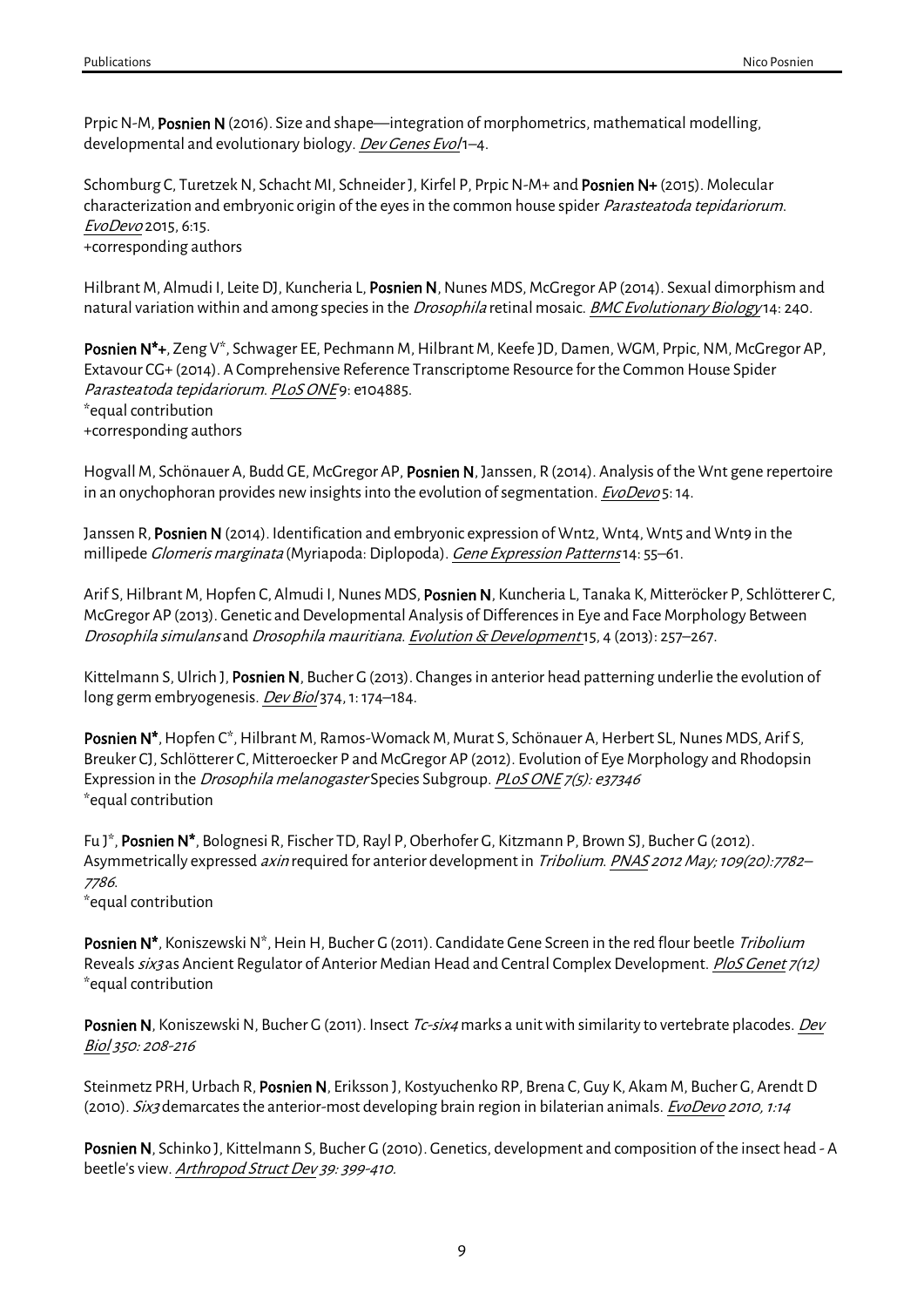Prpic N-M, Posnien N (2016). Size and shape—integration of morphometrics, mathematical modelling, developmental and evolutionary biology. Dev Genes Evol1-4.

Schomburg C, Turetzek N, Schacht MI, Schneider J, Kirfel P, Prpic N-M+ and Posnien N+ (2015). Molecular characterization and embryonic origin of the eyes in the common house spider *Parasteatoda tepidariorum*. EvoDevo 2015, 6:15. +corresponding authors

Hilbrant M, Almudi I, Leite DJ, Kuncheria L, Posnien N, Nunes MDS, McGregor AP (2014). Sexual dimorphism and natural variation within and among species in the *Drosophila* retinal mosaic. BMC Evolutionary Biology 14: 240.

Posnien N\*+, Zeng V\*, Schwager EE, Pechmann M, Hilbrant M, Keefe JD, Damen, WGM, Prpic, NM, McGregor AP, Extavour CG+ (2014). A Comprehensive Reference Transcriptome Resource for the Common House Spider Parasteatoda tepidariorum. PLoS ONE9: e104885. \*equal contribution +corresponding authors

Hogvall M, Schönauer A, Budd GE, McGregor AP, Posnien N, Janssen, R (2014). Analysis of the Wnt gene repertoire in an onychophoran provides new insights into the evolution of segmentation. *EvoDevo* 5: 14.

Janssen R, Posnien N (2014). Identification and embryonic expression of Wnt2, Wnt4, Wnt5 and Wnt9 in the millipede Glomeris marginata (Myriapoda: Diplopoda). Gene Expression Patterns14: 55–61.

Arif S, Hilbrant M, Hopfen C, Almudi I, Nunes MDS, Posnien N, Kuncheria L, Tanaka K, Mitteröcker P, Schlötterer C, McGregor AP (2013). Genetic and Developmental Analysis of Differences in Eye and Face Morphology Between Drosophila simulans and Drosophila mauritiana. Evolution & Development15, 4 (2013): 257–267.

Kittelmann S, Ulrich J, Posnien N, Bucher G (2013). Changes in anterior head patterning underlie the evolution of long germ embryogenesis. Dev Biol 374, 1: 174–184.

Posnien N<sup>\*</sup>, Hopfen C<sup>\*</sup>, Hilbrant M, Ramos-Womack M, Murat S, Schönauer A, Herbert SL, Nunes MDS, Arif S, Breuker CJ, Schlötterer C, Mitteroecker P and McGregor AP (2012). Evolution of Eye Morphology and Rhodopsin Expression in the *Drosophila melanogaster* Species Subgroup. *PLoS ONE 7(5): e37346* \*equal contribution

Fu J\*, Posnien N\*, Bolognesi R, Fischer TD, Rayl P, Oberhofer G, Kitzmann P, Brown SJ, Bucher G (2012). Asymmetrically expressed axin required for anterior development in Tribolium. PNAS 2012 May; 109(20):7782– <sup>7786</sup>.

\*equal contribution

Posnien N<sup>\*</sup>, Koniszewski N<sup>\*</sup>, Hein H, Bucher G (2011). Candidate Gene Screen in the red flour beetle Tribolium Reveals six3 as Ancient Regulator of Anterior Median Head and Central Complex Development. PloS Genet 7(12) \*equal contribution

Posnien N, Koniszewski N, Bucher G (2011). Insect Tc-six4 marks a unit with similarity to vertebrate placodes. Dev Biol 350: 208-216

Steinmetz PRH, Urbach R, Posnien N, Eriksson J, Kostyuchenko RP, Brena C, Guy K, Akam M, Bucher G, Arendt D (2010). Six3 demarcates the anterior-most developing brain region in bilaterian animals. EvoDevo 2010, 1:14

Posnien N, Schinko J, Kittelmann S, Bucher G (2010). Genetics, development and composition of the insect head - A beetle's view. Arthropod Struct Dev 39: 399-410.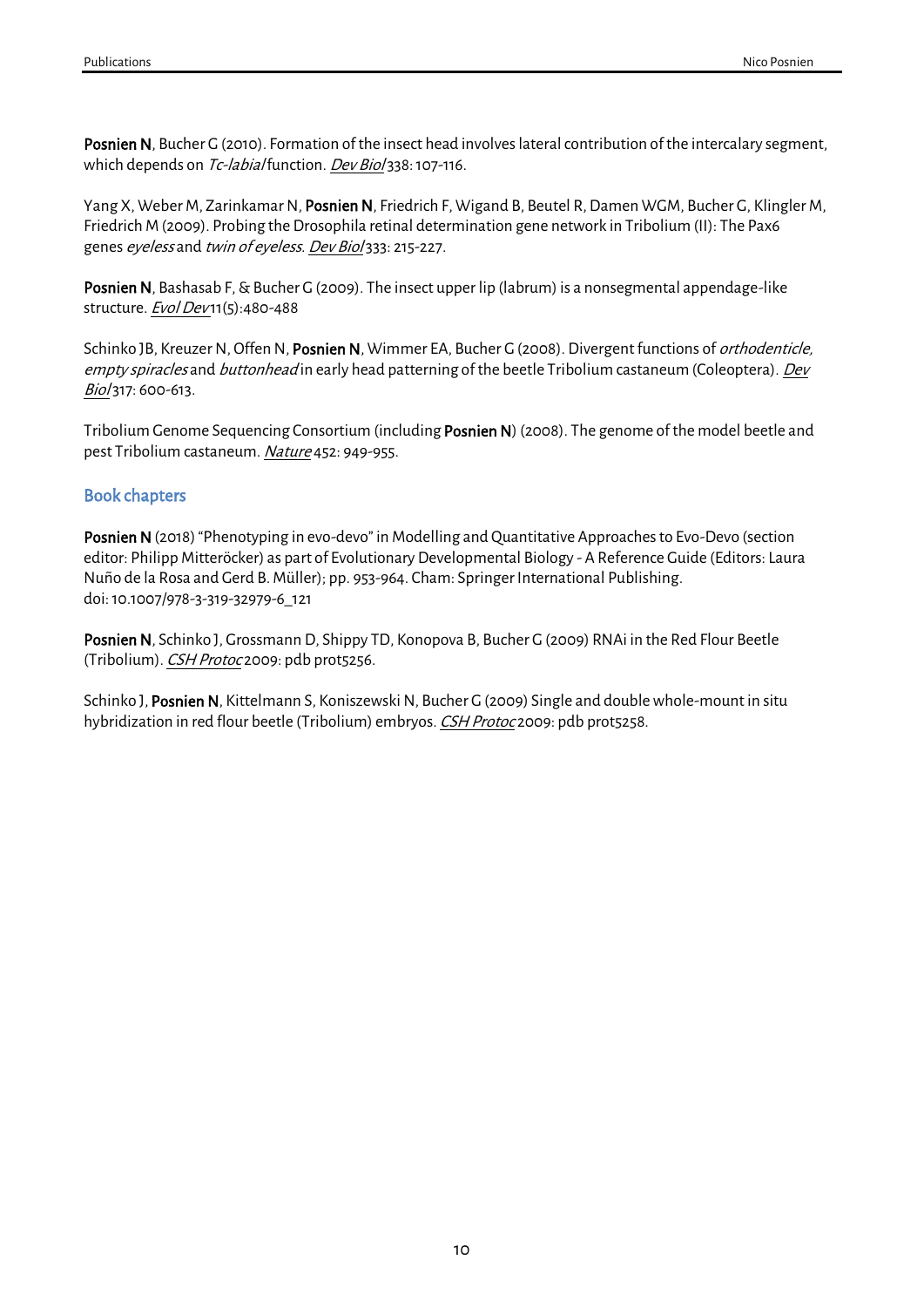Posnien N, Bucher G (2010). Formation of the insect head involves lateral contribution of the intercalary segment, which depends on Tc-labial function. Dev Biol 338: 107-116.

Yang X, Weber M, Zarinkamar N, Posnien N, Friedrich F, Wigand B, Beutel R, Damen WGM, Bucher G, Klingler M, Friedrich M (2009). Probing the Drosophila retinal determination gene network in Tribolium (II): The Pax6 genes eyeless and twin of eyeless. Dev Biol 333: 215-227.

Posnien N, Bashasab F, & Bucher G (2009). The insect upper lip (labrum) is a nonsegmental appendage-like structure. Evol Dev11(5):480-488

Schinko JB, Kreuzer N, Offen N, Posnien N, Wimmer EA, Bucher G (2008). Divergent functions of *orthodenticle*, empty spiracles and buttonhead in early head patterning of the beetle Tribolium castaneum (Coleoptera). Dev Biol 317: 600-613.

Tribolium Genome Sequencing Consortium (including Posnien N) (2008). The genome of the model beetle and pest Tribolium castaneum. Nature 452: 949-955.

## Book chapters

Posnien N (2018) "Phenotyping in evo-devo" in Modelling and Quantitative Approaches to Evo-Devo (section editor: Philipp Mitteröcker) as part of Evolutionary Developmental Biology - A Reference Guide (Editors: Laura Nuño de la Rosa and Gerd B. Müller); pp. 953-964. Cham: Springer International Publishing. doi: 10.1007/978-3-319-32979-6\_121

Posnien N, Schinko J, Grossmann D, Shippy TD, Konopova B, Bucher G (2009) RNAi in the Red Flour Beetle (Tribolium). CSH Protoc 2009: pdb prot5256.

Schinko J, Posnien N, Kittelmann S, Koniszewski N, Bucher G (2009) Single and double whole-mount in situ hybridization in red flour beetle (Tribolium) embryos. CSH Protoc 2009: pdb prot5258.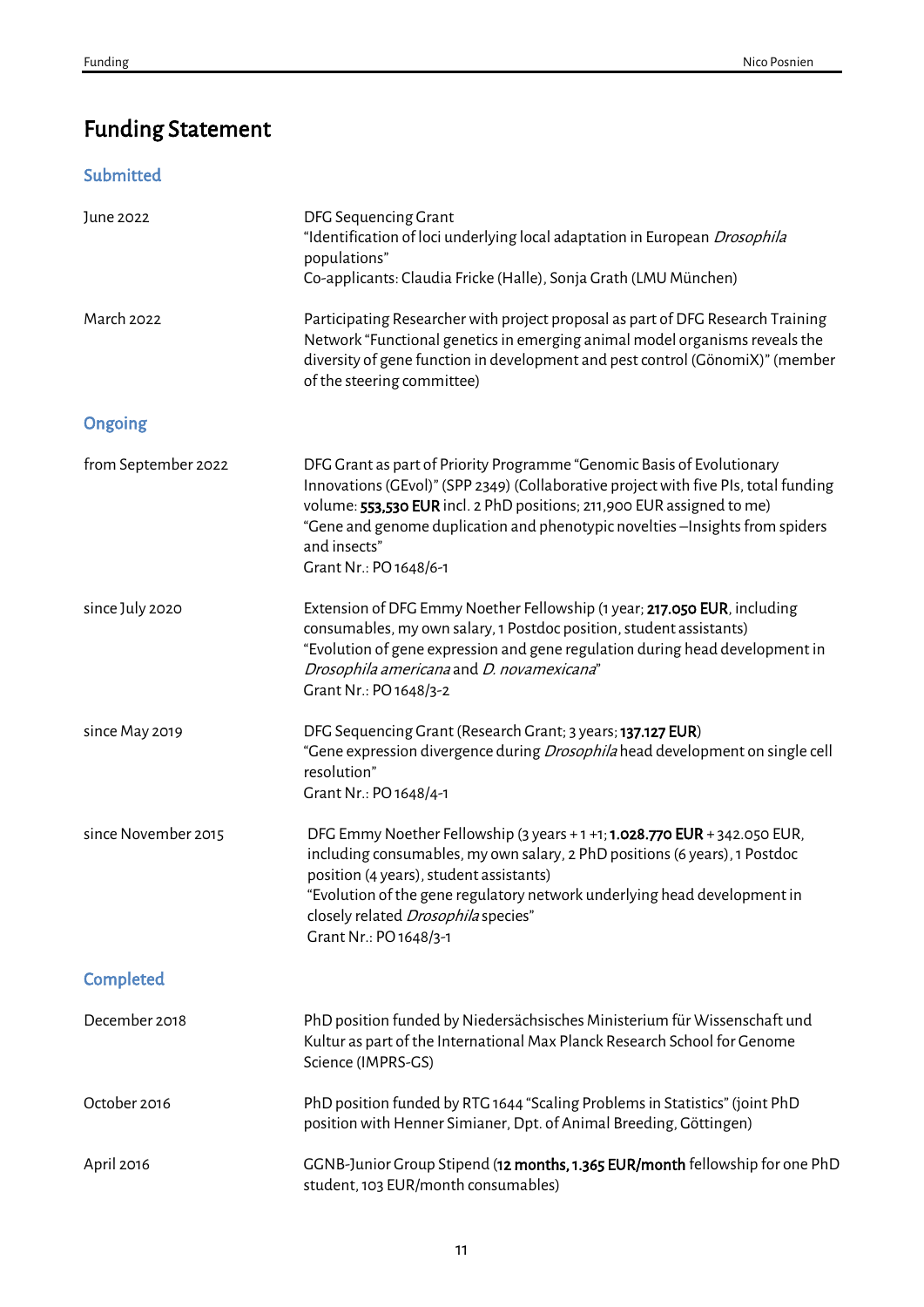# Funding Statement

## **Submitted**

| June 2022           | DFG Sequencing Grant<br>"Identification of loci underlying local adaptation in European Drosophila<br>populations"<br>Co-applicants: Claudia Fricke (Halle), Sonja Grath (LMU München)                                                                                                                                                                             |
|---------------------|--------------------------------------------------------------------------------------------------------------------------------------------------------------------------------------------------------------------------------------------------------------------------------------------------------------------------------------------------------------------|
| <b>March 2022</b>   | Participating Researcher with project proposal as part of DFG Research Training<br>Network "Functional genetics in emerging animal model organisms reveals the<br>diversity of gene function in development and pest control (GönomiX)" (member<br>of the steering committee)                                                                                      |
| <b>Ongoing</b>      |                                                                                                                                                                                                                                                                                                                                                                    |
| from September 2022 | DFG Grant as part of Priority Programme "Genomic Basis of Evolutionary<br>Innovations (GEvol)" (SPP 2349) (Collaborative project with five PIs, total funding<br>volume: 553,530 EUR incl. 2 PhD positions; 211,900 EUR assigned to me)<br>"Gene and genome duplication and phenotypic novelties - Insights from spiders<br>and insects"<br>Grant Nr.: PO 1648/6-1 |
| since July 2020     | Extension of DFG Emmy Noether Fellowship (1 year; 217.050 EUR, including<br>consumables, my own salary, 1 Postdoc position, student assistants)<br>"Evolution of gene expression and gene regulation during head development in<br>Drosophila americana and D. novamexicana"<br>Grant Nr.: PO 1648/3-2                                                             |
| since May 2019      | DFG Sequencing Grant (Research Grant; 3 years; 137.127 EUR)<br>"Gene expression divergence during <i>Drosophila</i> head development on single cell<br>resolution"<br>Grant Nr.: PO 1648/4-1                                                                                                                                                                       |
| since November 2015 | DFG Emmy Noether Fellowship (3 years + 1 +1; 1.028.770 EUR + 342.050 EUR,<br>including consumables, my own salary, 2 PhD positions (6 years), 1 Postdoc<br>position (4 years), student assistants)<br>"Evolution of the gene regulatory network underlying head development in<br>closely related Drosophila species"<br>Grant Nr.: PO 1648/3-1                    |
| <b>Completed</b>    |                                                                                                                                                                                                                                                                                                                                                                    |
| December 2018       | PhD position funded by Niedersächsisches Ministerium für Wissenschaft und<br>Kultur as part of the International Max Planck Research School for Genome<br>Science (IMPRS-GS)                                                                                                                                                                                       |
| October 2016        | PhD position funded by RTG 1644 "Scaling Problems in Statistics" (joint PhD<br>position with Henner Simianer, Dpt. of Animal Breeding, Göttingen)                                                                                                                                                                                                                  |
| April 2016          | GGNB-Junior Group Stipend (12 months, 1.365 EUR/month fellowship for one PhD<br>student, 103 EUR/month consumables)                                                                                                                                                                                                                                                |